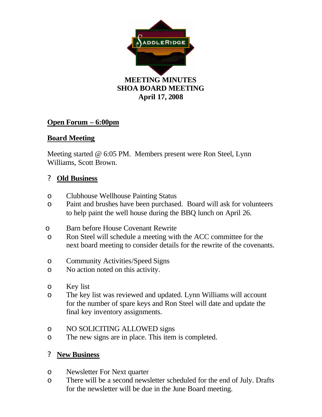

## **Open Forum – 6:00pm**

## **Board Meeting**

Meeting started @ 6:05 PM. Members present were Ron Steel, Lynn Williams, Scott Brown.

## ? **Old Business**

- o Clubhouse Wellhouse Painting Status
- o Paint and brushes have been purchased. Board will ask for volunteers to help paint the well house during the BBQ lunch on April 26.
- o Barn before House Covenant Rewrite
- o Ron Steel will schedule a meeting with the ACC committee for the next board meeting to consider details for the rewrite of the covenants.
- o Community Activities/Speed Signs
- o No action noted on this activity.
- o Key list
- o The key list was reviewed and updated. Lynn Williams will account for the number of spare keys and Ron Steel will date and update the final key inventory assignments.
- o NO SOLICITING ALLOWED signs
- o The new signs are in place. This item is completed.

## ? **New Business**

- o Newsletter For Next quarter
- o There will be a second newsletter scheduled for the end of July. Drafts for the newsletter will be due in the June Board meeting.